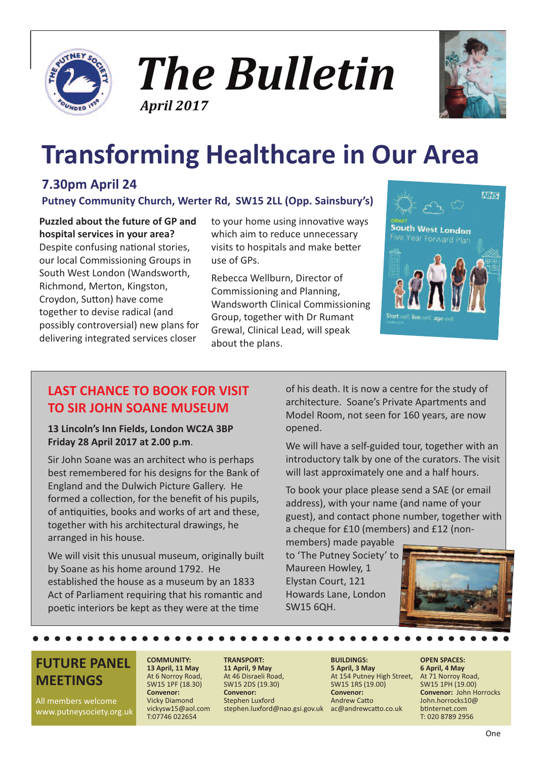





# **Transforming Healthcare in Our Area**

### **7.30pm April 24**

**Putney Community Church, Werter Rd, SW15 2LL (Opp. Sainsbury's)**

**Puzzled about the future of GP and hospital services in your area?** Despite confusing national stories, our local Commissioning Groups in South West London (Wandsworth, Richmond, Merton, Kingston, Croydon, Sutton) have come together to devise radical (and possibly controversial) new plans for delivering integrated services closer

to your home using innovative ways which aim to reduce unnecessary visits to hospitals and make better use of GPs.

Rebecca Wellburn, Director of Commissioning and Planning, Wandsworth Clinical Commissioning Group, together with Dr Rumant Grewal, Clinical Lead, will speak about the plans.



### **LAST CHANCE TO BOOK FOR VISIT TO SIR JOHN SOANE MUSEUM**

**13 Lincoln's Inn Fields, London WC2A 3BP Friday 28 April 2017 at 2.00 p.m**.

Sir John Soane was an architect who is perhaps best remembered for his designs for the Bank of England and the Dulwich Picture Gallery. He formed a collection, for the benefit of his pupils, of antiquities, books and works of art and these, together with his architectural drawings, he arranged in his house.

We will visit this unusual museum, originally built by Soane as his home around 1792. He established the house as a museum by an 1833 Act of Parliament requiring that his romantic and poetic interiors be kept as they were at the time

of his death. It is now a centre for the study of architecture. Soane's Private Apartments and Model Room, not seen for 160 years, are now opened.

We will have a self-guided tour, together with an introductory talk by one of the curators. The visit will last approximately one and a half hours.

To book your place please send a SAE (or email address), with your name (and name of your guest), and contact phone number, together with a cheque for £10 (members) and £12 (non-

members) made payable to 'The Putney Society' to Maureen Howley, 1 Elystan Court, 121 Howards Lane, London SW15 6QH.



### **FUTURE PANEL MEETINGS**

All members welcome www.putneysociety.org.uk

#### **COMMUNITY: 13 April, 11 May** At 6 Norroy Road, SW15 1PF (18.30) **Convenor:** Vicky Diamond

vickysw15@aol.com T:07746 022654

#### **TRANSPORT: 11 April, 9 May** At 46 Disraeli Road, SW15 2DS (19.30) **Convenor:** Stephen Luxford stephen.luxford@nao.gsi.gov.uk ac@andrewcatto.co.uk

#### **BUILDINGS: 5 April, 3 May** At 154 Putney High Street, SW15 1RS (19.00) **Convenor:** Andrew Catto

**OPEN SPACES: 6 April, 4 May** At 71 Norroy Road, SW15 1PH (19.00) **Convenor:** John Horrocks John.horrocks10@ btinternet.com T: 020 8789 2956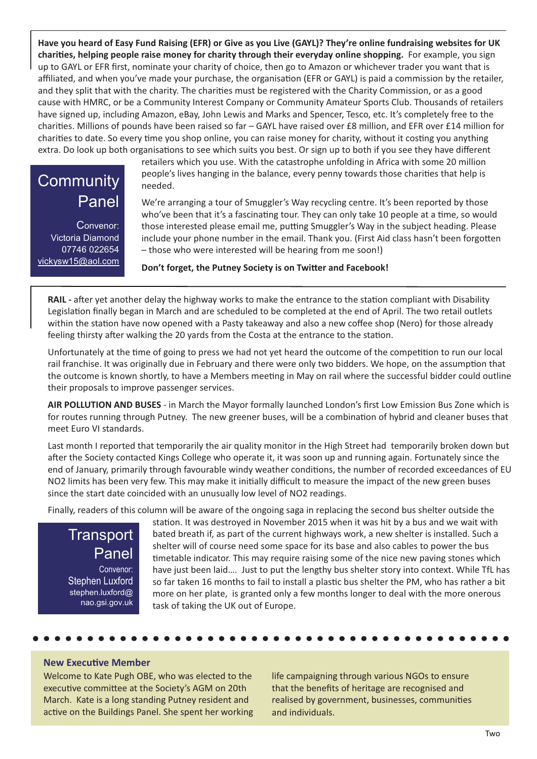Have you heard of Easy Fund Raising (EFR) or Give as you Live (GAYL)? They're online fundraising websites for UK **charities, helping people raise money for charity through their everyday online shopping.** For example, you sign up to GAYL or EFR first, nominate your charity of choice, then go to Amazon or whichever trader you want that is affiliated, and when you've made your purchase, the organisation (EFR or GAYL) is paid a commission by the retailer, and they split that with the charity. The charities must be registered with the Charity Commission, or as a good cause with HMRC, or be a Community Interest Company or Community Amateur Sports Club. Thousands of retailers have signed up, including Amazon, eBay, John Lewis and Marks and Spencer, Tesco, etc. It's completely free to the charities. Millions of pounds have been raised so far – GAYL have raised over £8 million, and EFR over £14 million for charities to date. So every time you shop online, you can raise money for charity, without it costing you anything extra. Do look up both organisations to see which suits you best. Or sign up to both if you see they have different

### **Community** Panel

Convenor: Victoria Diamond 07746 022654 vickysw15@aol.com retailers which you use. With the catastrophe unfolding in Africa with some 20 million people's lives hanging in the balance, every penny towards those charities that help is needed.

We're arranging a tour of Smuggler's Way recycling centre. It's been reported by those who've been that it's a fascinating tour. They can only take 10 people at a time, so would those interested please email me, putting Smuggler's Way in the subject heading. Please include your phone number in the email. Thank you. (First Aid class hasn't been forgotten – those who were interested will be hearing from me soon!)

**Don't forget, the Putney Society is on Twitter and Facebook!**

**RAIL -** after yet another delay the highway works to make the entrance to the station compliant with Disability Legislation finally began in March and are scheduled to be completed at the end of April. The two retail outlets within the station have now opened with a Pasty takeaway and also a new coffee shop (Nero) for those already feeling thirsty after walking the 20 yards from the Costa at the entrance to the station.

Unfortunately at the time of going to press we had not yet heard the outcome of the competition to run our local rail franchise. It was originally due in February and there were only two bidders. We hope, on the assumption that the outcome is known shortly, to have a Members meeting in May on rail where the successful bidder could outline their proposals to improve passenger services.

**AIR POLLUTION AND BUSES** - in March the Mayor formally launched London's first Low Emission Bus Zone which is for routes running through Putney. The new greener buses, will be a combination of hybrid and cleaner buses that meet Euro VI standards.

Last month I reported that temporarily the air quality monitor in the High Street had temporarily broken down but after the Society contacted Kings College who operate it, it was soon up and running again. Fortunately since the end of January, primarily through favourable windy weather conditions, the number of recorded exceedances of EU NO2 limits has been very few. This may make it initially difficult to measure the impact of the new green buses since the start date coincided with an unusually low level of NO2 readings.

Finally, readers of this column will be aware of the ongoing saga in replacing the second bus shelter outside the

**Transport** Panel Convenor: Stephen Luxford stephen.luxford@ nao.gsi.gov.uk

station. It was destroyed in November 2015 when it was hit by a bus and we wait with bated breath if, as part of the current highways work, a new shelter is installed. Such a shelter will of course need some space for its base and also cables to power the bus timetable indicator. This may require raising some of the nice new paving stones which have just been laid…. Just to put the lengthy bus shelter story into context. While TfL has so far taken 16 months to fail to install a plastic bus shelter the PM, who has rather a bit more on her plate, is granted only a few months longer to deal with the more onerous task of taking the UK out of Europe.

#### **New Executive Member**

Welcome to Kate Pugh OBE, who was elected to the executive committee at the Society's AGM on 20th March. Kate is a long standing Putney resident and active on the Buildings Panel. She spent her working life campaigning through various NGOs to ensure that the benefits of heritage are recognised and realised by government, businesses, communities and individuals.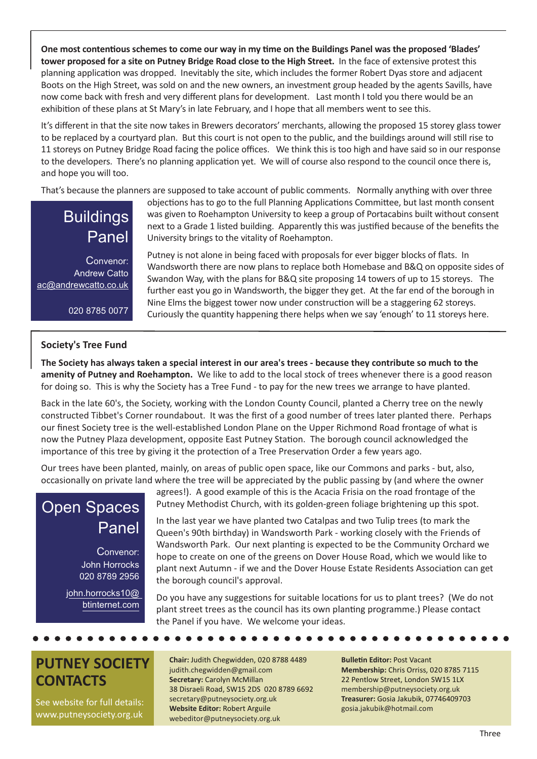One most contentious schemes to come our way in my time on the Buildings Panel was the proposed 'Blades' **tower proposed for a site on Putney Bridge Road close to the High Street.** In the face of extensive protest this planning application was dropped. Inevitably the site, which includes the former Robert Dyas store and adjacent Boots on the High Street, was sold on and the new owners, an investment group headed by the agents Savills, have now come back with fresh and very different plans for development. Last month I told you there would be an exhibition of these plans at St Mary's in late February, and I hope that all members went to see this.

It's different in that the site now takes in Brewers decorators' merchants, allowing the proposed 15 storey glass tower to be replaced by a courtyard plan. But this court is not open to the public, and the buildings around will still rise to 11 storeys on Putney Bridge Road facing the police offices. We think this is too high and have said so in our response to the developers. There's no planning application yet. We will of course also respond to the council once there is, and hope you will too.

That's because the planners are supposed to take account of public comments. Normally anything with over three

### **Buildings** Panel

Convenor: Andrew Catto ac@andrewcatto.co.uk

020 8785 0077

#### objections has to go to the full Planning Applications Committee, but last month consent was given to Roehampton University to keep a group of Portacabins built without consent next to a Grade 1 listed building. Apparently this was justified because of the benefits the University brings to the vitality of Roehampton.

Putney is not alone in being faced with proposals for ever bigger blocks of flats. In Wandsworth there are now plans to replace both Homebase and B&Q on opposite sides of Swandon Way, with the plans for B&Q site proposing 14 towers of up to 15 storeys. The further east you go in Wandsworth, the bigger they get. At the far end of the borough in Nine Elms the biggest tower now under construction will be a staggering 62 storeys. Curiously the quantity happening there helps when we say 'enough' to 11 storeys here.

#### **Society's Tree Fund**

The Society has always taken a special interest in our area's trees - because they contribute so much to the **amenity of Putney and Roehampton.** We like to add to the local stock of trees whenever there is a good reason for doing so. This is why the Society has a Tree Fund - to pay for the new trees we arrange to have planted.

Back in the late 60's, the Society, working with the London County Council, planted a Cherry tree on the newly constructed Tibbet's Corner roundabout. It was the first of a good number of trees later planted there. Perhaps our finest Society tree is the well-established London Plane on the Upper Richmond Road frontage of what is now the Putney Plaza development, opposite East Putney Station. The borough council acknowledged the importance of this tree by giving it the protection of a Tree Preservation Order a few years ago.

Our trees have been planted, mainly, on areas of public open space, like our Commons and parks - but, also, occasionally on private land where the tree will be appreciated by the public passing by (and where the owner

### Open Spaces Panel

Convenor: John Horrocks 020 8789 2956

john.horrocks10@ btinternet.com

agrees!). A good example of this is the Acacia Frisia on the road frontage of the Putney Methodist Church, with its golden-green foliage brightening up this spot.

In the last year we have planted two Catalpas and two Tulip trees (to mark the Queen's 90th birthday) in Wandsworth Park - working closely with the Friends of Wandsworth Park. Our next planting is expected to be the Community Orchard we hope to create on one of the greens on Dover House Road, which we would like to plant next Autumn - if we and the Dover House Estate Residents Association can get the borough council's approval.

Do you have any suggestions for suitable locations for us to plant trees? (We do not plant street trees as the council has its own planting programme.) Please contact the Panel if you have. We welcome your ideas.

### **PUTNEY SOCIETY CONTACTS**

See website for full details: www.putneysociety.org.uk

#### **Chair:** Judith Chegwidden, 020 8788 4489 judith.chegwidden@gmail.com **Secretary:** Carolyn McMillan 38 Disraeli Road, SW15 2DS 020 8789 6692 secretary@putneysociety.org.uk **Website Editor:** Robert Arguile webeditor@putneysociety.org.uk

**Bulletin Editor:** Post Vacant **Membership:** Chris Orriss, 020 8785 7115 22 Pentlow Street, London SW15 1LX membership@putneysociety.org.uk **Treasurer:** Gosia Jakubik, 07746409703 gosia.jakubik@hotmail.com